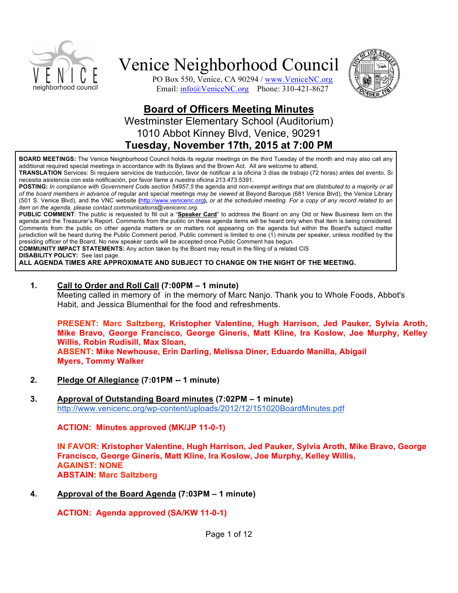

PO Box 550, Venice, CA 90294 / www.VeniceNC.org Email: info@VeniceNC.org Phone: 310-421-8627



# **Board of Officers Meeting Minutes** Westminster Elementary School (Auditorium) 1010 Abbot Kinney Blvd, Venice, 90291 **Tuesday, November 17th, 2015 at 7:00 PM**

**BOARD MEETINGS:** The Venice Neighborhood Council holds its regular meetings on the third Tuesday of the month and may also call any additional required special meetings in accordance with its Bylaws and the Brown Act. All are welcome to attend.

**TRANSLATION** Services: Si requiere servicios de traducción, favor de notificar a la oficina 3 días de trabajo (72 horas) antes del evento. Si necesita asistencia con esta notificación, por favor llame a nuestra oficina 213.473.5391.

**POSTING:** *In compliance with Government Code section 54957.5* the agenda and *non-exempt writings that are distributed to a majority or all of the board members in advance of* regular and special meetings *may be viewed* at Beyond Baroque (681 Venice Blvd), the Venice Library (501 S. Venice Blvd), and the VNC website **(**http://www.venicenc.org**),** *or at the scheduled meeting. For a copy of any record related to an item on the agenda, please contact communications@venicenc.org.*

**PUBLIC COMMENT**: The public is requested to fill out a "**Speaker Card**" to address the Board on any Old or New Business item on the agenda and the Treasurer's Report. Comments from the public on these agenda items will be heard only when that item is being considered. Comments from the public on other agenda matters or on matters not appearing on the agenda but within the Board's subject matter jurisdiction will be heard during the Public Comment period. Public comment is limited to one (1) minute per speaker, unless modified by the presiding officer of the Board. No new speaker cards will be accepted once Public Comment has begun.

**COMMUNITY IMPACT STATEMENTS:** Any action taken by the Board may result in the filing of a related CIS

**DISABILITY POLICY:** See last page.

**ALL AGENDA TIMES ARE APPROXIMATE AND SUBJECT TO CHANGE ON THE NIGHT OF THE MEETING.**

#### **1. Call to Order and Roll Call (7:00PM – 1 minute)**

Meeting called in memory of in the memory of Marc Nanjo. Thank you to Whole Foods, Abbot's Habit, and Jessica Blumenthal for the food and refreshments.

**PRESENT: Marc Saltzberg, Kristopher Valentine, Hugh Harrison, Jed Pauker, Sylvia Aroth, Mike Bravo, George Francisco, George Gineris, Matt Kline, Ira Koslow, Joe Murphy, Kelley Willis, Robin Rudisill, Max Sloan, ABSENT: Mike Newhouse, Erin Darling, Melissa Diner, Eduardo Manilla, Abigail Myers, Tommy Walker**

**2. Pledge Of Allegiance (7:01PM -- 1 minute)**

#### **3. Approval of Outstanding Board minutes (7:02PM – 1 minute)** http://www.venicenc.org/wp-content/uploads/2012/12/151020BoardMinutes.pdf

**ACTION: Minutes approved (MK/JP 11-0-1)**

**IN FAVOR: Kristopher Valentine, Hugh Harrison, Jed Pauker, Sylvia Aroth, Mike Bravo, George Francisco, George Gineris, Matt Kline, Ira Koslow, Joe Murphy, Kelley Willis, AGAINST: NONE ABSTAIN: Marc Saltzberg**

**4. Approval of the Board Agenda (7:03PM – 1 minute)**

**ACTION: Agenda approved (SA/KW 11-0-1)**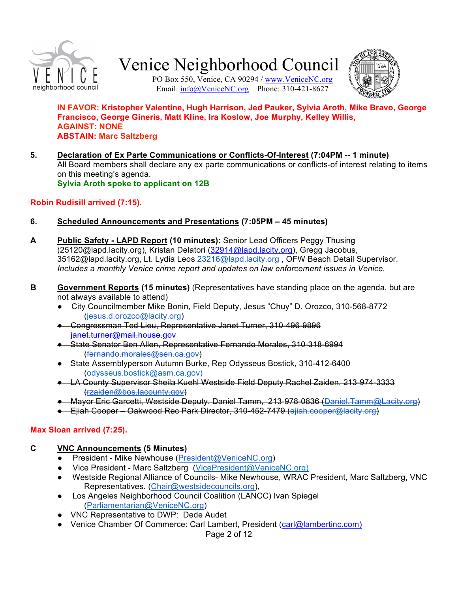

PO Box 550, Venice, CA 90294 / www.VeniceNC.org Email: info@VeniceNC.org Phone: 310-421-8627



#### **IN FAVOR: Kristopher Valentine, Hugh Harrison, Jed Pauker, Sylvia Aroth, Mike Bravo, George Francisco, George Gineris, Matt Kline, Ira Koslow, Joe Murphy, Kelley Willis, AGAINST: NONE ABSTAIN: Marc Saltzberg**

**5. Declaration of Ex Parte Communications or Conflicts-Of-Interest (7:04PM -- 1 minute)**  All Board members shall declare any ex parte communications or conflicts-of interest relating to items on this meeting's agenda. **Sylvia Aroth spoke to applicant on 12B**

### **Robin Rudisill arrived (7:15).**

- **6. Scheduled Announcements and Presentations (7:05PM 45 minutes)**
- **A Public Safety LAPD Report (10 minutes):** Senior Lead Officers Peggy Thusing (25120@lapd.lacity.org), Kristan Delatori (32914@lapd.lacity.org), Gregg Jacobus, 35162@lapd.lacity.org, Lt. Lydia Leos 23216@lapd.lacity.org, OFW Beach Detail Supervisor. *Includes a monthly Venice crime report and updates on law enforcement issues in Venice.*
- **B** Government Reports (15 minutes) (Representatives have standing place on the agenda, but are not always available to attend)
	- City Councilmember Mike Bonin, Field Deputy, Jesus "Chuy" D. Orozco, 310-568-8772 (jesus.d.orozco@lacity.org)
	- Congressman Ted Lieu, Representative Janet Turner, 310-496-9896 janet.turner@mail.house.gov
	- State Senator Ben Allen, Representative Fernando Morales, 310-318-6994 (fernando.morales@sen.ca.gov)
	- State Assemblyperson Autumn Burke, Rep Odysseus Bostick, 310-412-6400 (odysseus.bostick@asm.ca.gov)
	- LA County Supervisor Sheila Kuehl Westside Field Deputy Rachel Zaiden, 213-974-3333 (rzaiden@bos.lacounty.gov)
	- Mayor Eric Garcetti, Westside Deputy, Daniel Tamm, 213-978-0836 (Daniel.Tamm@Lacity.org)
	- Ejiah Cooper Oakwood Rec Park Director, 310-452-7479 (ejiah.cooper@lacity.org)

# **Max Sloan arrived (7:25).**

# **C VNC Announcements (5 Minutes)**

- President Mike Newhouse (President@VeniceNC.org)
- Vice President Marc Saltzberg (VicePresident@VeniceNC.org)
- Westside Regional Alliance of Councils- Mike Newhouse, WRAC President, Marc Saltzberg, VNC Representatives. (Chair@westsidecouncils.org),
- Los Angeles Neighborhood Council Coalition (LANCC) Ivan Spiegel (Parliamentarian@VeniceNC.org)
- VNC Representative to DWP: Dede Audet
- Venice Chamber Of Commerce: Carl Lambert, President (carl@lambertinc.com)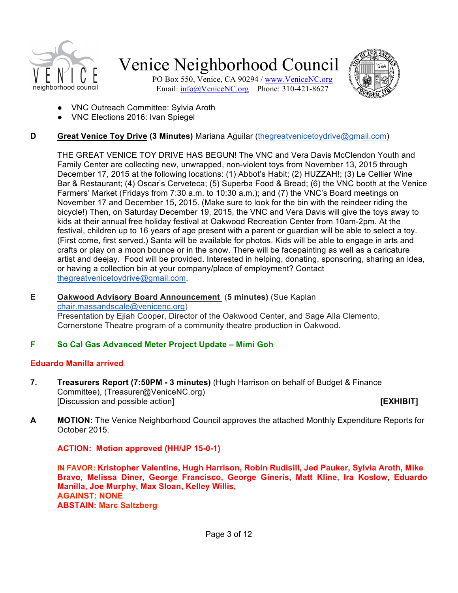

PO Box 550, Venice, CA 90294 / www.VeniceNC.org Email: info@VeniceNC.org Phone: 310-421-8627



- VNC Outreach Committee: Sylvia Aroth
- VNC Elections 2016: Ivan Spiegel

# **D Great Venice Toy Drive (3 Minutes)** Mariana Aguilar (thegreatvenicetoydrive@gmail.com)

THE GREAT VENICE TOY DRIVE HAS BEGUN! The VNC and Vera Davis McClendon Youth and Family Center are collecting new, unwrapped, non-violent toys from November 13, 2015 through December 17, 2015 at the following locations: (1) Abbot's Habit; (2) HUZZAH!; (3) Le Cellier Wine Bar & Restaurant; (4) Oscar's Cerveteca; (5) Superba Food & Bread; (6) the VNC booth at the Venice Farmers' Market (Fridays from 7:30 a.m. to 10:30 a.m.); and (7) the VNC's Board meetings on November 17 and December 15, 2015. (Make sure to look for the bin with the reindeer riding the bicycle!) Then, on Saturday December 19, 2015, the VNC and Vera Davis will give the toys away to kids at their annual free holiday festival at Oakwood Recreation Center from 10am-2pm. At the festival, children up to 16 years of age present with a parent or guardian will be able to select a toy. (First come, first served.) Santa will be available for photos. Kids will be able to engage in arts and crafts or play on a moon bounce or in the snow. There will be facepainting as well as a caricature artist and deejay. Food will be provided. Interested in helping, donating, sponsoring, sharing an idea, or having a collection bin at your company/place of employment? Contact thegreatvenicetoydrive@gmail.com.

#### **E Oakwood Advisory Board Announcement** (**5 minutes)** (Sue Kaplan chair.massandscale@venicenc.org) Presentation by Ejiah Cooper, Director of the Oakwood Center, and Sage Alla Clemento, Cornerstone Theatre program of a community theatre production in Oakwood.

# **F So Cal Gas Advanced Meter Project Update – Mimi Goh**

# **Eduardo Manilla arrived**

**7. Treasurers Report (7:50PM - 3 minutes)** (Hugh Harrison on behalf of Budget & Finance Committee), (Treasurer@VeniceNC.org) [Discussion and possible action] **[EXHIBIT]**

**A MOTION:** The Venice Neighborhood Council approves the attached Monthly Expenditure Reports for October 2015.

**ACTION: Motion approved (HH/JP 15-0-1)**

**IN FAVOR: Kristopher Valentine, Hugh Harrison, Robin Rudisill, Jed Pauker, Sylvia Aroth, Mike Bravo, Melissa Diner, George Francisco, George Gineris, Matt Kline, Ira Koslow, Eduardo Manilla, Joe Murphy, Max Sloan, Kelley Willis, AGAINST: NONE ABSTAIN: Marc Saltzberg**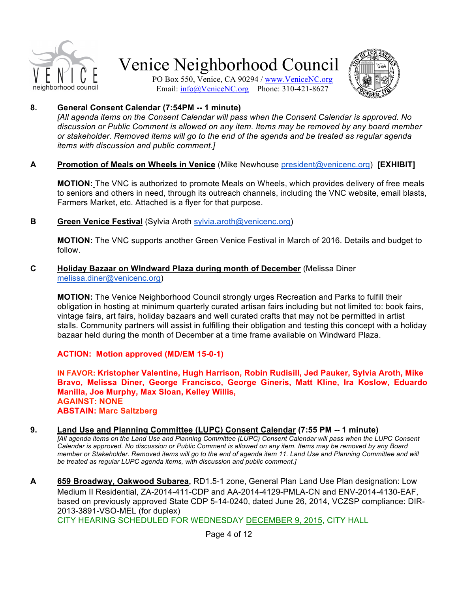

PO Box 550, Venice, CA 90294 / www.VeniceNC.org Email: info@VeniceNC.org Phone: 310-421-8627



#### **8. General Consent Calendar (7:54PM -- 1 minute)**

*[All agenda items on the Consent Calendar will pass when the Consent Calendar is approved. No discussion or Public Comment is allowed on any item. Items may be removed by any board member or stakeholder. Removed items will go to the end of the agenda and be treated as regular agenda items with discussion and public comment.]*

#### **A Promotion of Meals on Wheels in Venice** (Mike Newhouse president@venicenc.org) **[EXHIBIT]**

**MOTION:** The VNC is authorized to promote Meals on Wheels, which provides delivery of free meals to seniors and others in need, through its outreach channels, including the VNC website, email blasts, Farmers Market, etc. Attached is a flyer for that purpose.

**B Green Venice Festival** (Sylvia Aroth sylvia.aroth@venicenc.org)

**MOTION:** The VNC supports another Green Venice Festival in March of 2016. Details and budget to follow.

#### **C Holiday Bazaar on WIndward Plaza during month of December** (Melissa Diner melissa.diner@venicenc.org)

**MOTION:** The Venice Neighborhood Council strongly urges Recreation and Parks to fulfill their obligation in hosting at minimum quarterly curated artisan fairs including but not limited to: book fairs, vintage fairs, art fairs, holiday bazaars and well curated crafts that may not be permitted in artist stalls. Community partners will assist in fulfilling their obligation and testing this concept with a holiday bazaar held during the month of December at a time frame available on Windward Plaza.

**ACTION: Motion approved (MD/EM 15-0-1)**

**IN FAVOR: Kristopher Valentine, Hugh Harrison, Robin Rudisill, Jed Pauker, Sylvia Aroth, Mike Bravo, Melissa Diner, George Francisco, George Gineris, Matt Kline, Ira Koslow, Eduardo Manilla, Joe Murphy, Max Sloan, Kelley Willis, AGAINST: NONE ABSTAIN: Marc Saltzberg**

#### **9. Land Use and Planning Committee (LUPC) Consent Calendar (7:55 PM -- 1 minute)**

*[All agenda items on the Land Use and Planning Committee (LUPC) Consent Calendar will pass when the LUPC Consent Calendar is approved. No discussion or Public Comment is allowed on any item. Items may be removed by any Board member or Stakeholder. Removed items will go to the end of agenda item 11. Land Use and Planning Committee and will be treated as regular LUPC agenda items, with discussion and public comment.]*

**A 659 Broadway, Oakwood Subarea,** RD1.5-1 zone, General Plan Land Use Plan designation: Low Medium II Residential, ZA-2014-411-CDP and AA-2014-4129-PMLA-CN and ENV-2014-4130-EAF, based on previously approved State CDP 5-14-0240, dated June 26, 2014, VCZSP compliance: DIR-2013-3891-VSO-MEL (for duplex)

CITY HEARING SCHEDULED FOR WEDNESDAY DECEMBER 9, 2015, CITY HALL

Page 4 of 12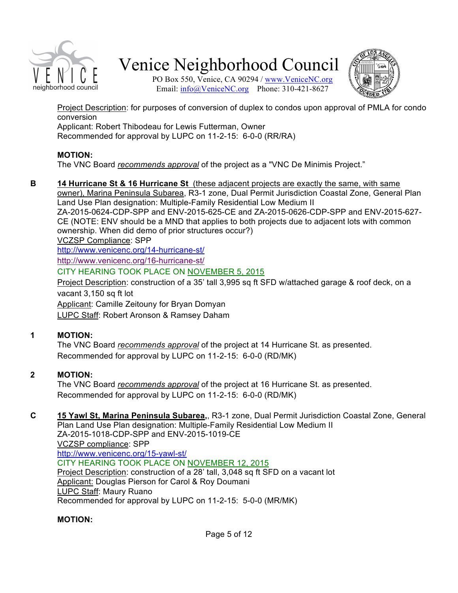

PO Box 550, Venice, CA 90294 / www.VeniceNC.org Email: info@VeniceNC.org Phone: 310-421-8627



Project Description: for purposes of conversion of duplex to condos upon approval of PMLA for condo conversion

Applicant: Robert Thibodeau for Lewis Futterman, Owner

Recommended for approval by LUPC on 11-2-15: 6-0-0 (RR/RA)

### **MOTION:**

The VNC Board *recommends approval* of the project as a "VNC De Minimis Project."

**B 14 Hurricane St & 16 Hurricane St** (these adjacent projects are exactly the same, with same owner), Marina Peninsula Subarea, R3-1 zone, Dual Permit Jurisdiction Coastal Zone, General Plan Land Use Plan designation: Multiple-Family Residential Low Medium II ZA-2015-0624-CDP-SPP and ENV-2015-625-CE and ZA-2015-0626-CDP-SPP and ENV-2015-627- CE (NOTE: ENV should be a MND that applies to both projects due to adjacent lots with common ownership. When did demo of prior structures occur?) VCZSP Compliance: SPP http://www.venicenc.org/14-hurricane-st/ http://www.venicenc.org/16-hurricane-st/ CITY HEARING TOOK PLACE ON NOVEMBER 5, 2015 Project Description: construction of a 35' tall 3,995 sq ft SFD w/attached garage & roof deck, on a vacant 3,150 sq ft lot Applicant: Camille Zeitouny for Bryan Domyan LUPC Staff: Robert Aronson & Ramsey Daham

# **1 MOTION:**

The VNC Board *recommends approval* of the project at 14 Hurricane St. as presented. Recommended for approval by LUPC on 11-2-15: 6-0-0 (RD/MK)

# **2 MOTION:**

The VNC Board *recommends approval* of the project at 16 Hurricane St. as presented. Recommended for approval by LUPC on 11-2-15: 6-0-0 (RD/MK)

#### **C 15 Yawl St, Marina Peninsula Subarea,**, R3-1 zone, Dual Permit Jurisdiction Coastal Zone, General Plan Land Use Plan designation: Multiple-Family Residential Low Medium II ZA-2015-1018-CDP-SPP and ENV-2015-1019-CE VCZSP compliance: SPP http://www.venicenc.org/15-yawl-st/

CITY HEARING TOOK PLACE ON NOVEMBER 12, 2015 Project Description: construction of a 28' tall, 3,048 sq ft SFD on a vacant lot Applicant: Douglas Pierson for Carol & Roy Doumani LUPC Staff: Maury Ruano Recommended for approval by LUPC on 11-2-15: 5-0-0 (MR/MK)

# **MOTION:**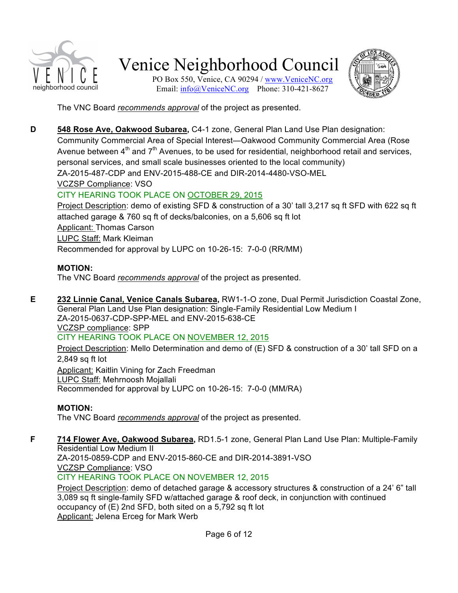

PO Box 550, Venice, CA 90294 / www.VeniceNC.org Email: info@VeniceNC.org Phone: 310-421-8627



The VNC Board *recommends approval* of the project as presented.

**D 548 Rose Ave, Oakwood Subarea,** C4-1 zone, General Plan Land Use Plan designation: Community Commercial Area of Special Interest—Oakwood Community Commercial Area (Rose Avenue between  $4<sup>th</sup>$  and  $7<sup>th</sup>$  Avenues, to be used for residential, neighborhood retail and services, personal services, and small scale businesses oriented to the local community) ZA-2015-487-CDP and ENV-2015-488-CE and DIR-2014-4480-VSO-MEL VCZSP Compliance: VSO

# CITY HEARING TOOK PLACE ON OCTOBER 29, 2015

Project Description: demo of existing SFD & construction of a 30' tall 3,217 sq ft SFD with 622 sq ft attached garage & 760 sq ft of decks/balconies, on a 5,606 sq ft lot Applicant: Thomas Carson LUPC Staff: Mark Kleiman Recommended for approval by LUPC on 10-26-15: 7-0-0 (RR/MM)

# **MOTION:**

The VNC Board *recommends approval* of the project as presented.

**E 232 Linnie Canal, Venice Canals Subarea,** RW1-1-O zone, Dual Permit Jurisdiction Coastal Zone, General Plan Land Use Plan designation: Single-Family Residential Low Medium I ZA-2015-0637-CDP-SPP-MEL and ENV-2015-638-CE VCZSP compliance: SPP

CITY HEARING TOOK PLACE ON NOVEMBER 12, 2015

Project Description: Mello Determination and demo of (E) SFD & construction of a 30' tall SFD on a 2,849 sq ft lot

Applicant: Kaitlin Vining for Zach Freedman LUPC Staff: Mehrnoosh Mojallali Recommended for approval by LUPC on 10-26-15: 7-0-0 (MM/RA)

# **MOTION:**

The VNC Board *recommends approval* of the project as presented.

**F 714 Flower Ave, Oakwood Subarea,** RD1.5-1 zone, General Plan Land Use Plan: Multiple-Family Residential Low Medium II

ZA-2015-0859-CDP and ENV-2015-860-CE and DIR-2014-3891-VSO VCZSP Compliance: VSO

CITY HEARING TOOK PLACE ON NOVEMBER 12, 2015

Project Description: demo of detached garage & accessory structures & construction of a 24' 6" tall 3,089 sq ft single-family SFD w/attached garage & roof deck, in conjunction with continued occupancy of (E) 2nd SFD, both sited on a 5,792 sq ft lot Applicant: Jelena Erceg for Mark Werb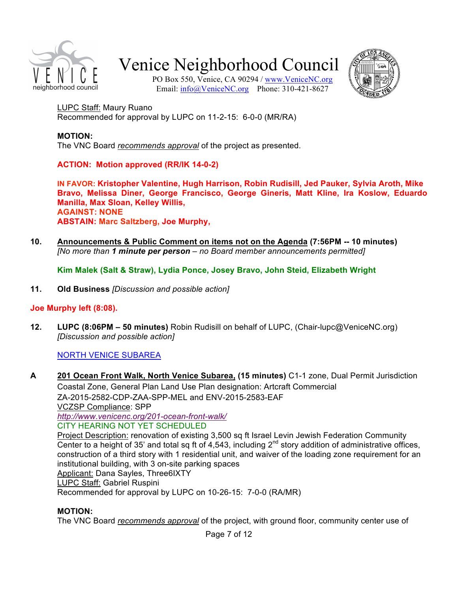

PO Box 550, Venice, CA 90294 / www.VeniceNC.org Email: info@VeniceNC.org Phone: 310-421-8627



LUPC Staff: Maury Ruano Recommended for approval by LUPC on 11-2-15: 6-0-0 (MR/RA)

#### **MOTION:** The VNC Board *recommends approval* of the project as presented.

**ACTION: Motion approved (RR/IK 14-0-2)**

**IN FAVOR: Kristopher Valentine, Hugh Harrison, Robin Rudisill, Jed Pauker, Sylvia Aroth, Mike Bravo, Melissa Diner, George Francisco, George Gineris, Matt Kline, Ira Koslow, Eduardo Manilla, Max Sloan, Kelley Willis, AGAINST: NONE ABSTAIN: Marc Saltzberg, Joe Murphy,**

**10. Announcements & Public Comment on items not on the Agenda (7:56PM -- 10 minutes)** *[No more than 1 minute per person – no Board member announcements permitted]*

**Kim Malek (Salt & Straw), Lydia Ponce, Josey Bravo, John Steid, Elizabeth Wright**

**11. Old Business** *[Discussion and possible action]*

# **Joe Murphy left (8:08).**

**12. LUPC (8:06PM – 50 minutes)** Robin Rudisill on behalf of LUPC, (Chair-lupc@VeniceNC.org) *[Discussion and possible action]*

# NORTH VENICE SUBAREA

**A 201 Ocean Front Walk, North Venice Subarea, (15 minutes)** C1-1 zone, Dual Permit Jurisdiction Coastal Zone, General Plan Land Use Plan designation: Artcraft Commercial ZA-2015-2582-CDP-ZAA-SPP-MEL and ENV-2015-2583-EAF VCZSP Compliance: SPP *http://www.venicenc.org/201-ocean-front-walk/* CITY HEARING NOT YET SCHEDULED Project Description: renovation of existing 3,500 sq ft Israel Levin Jewish Federation Community Center to a height of 35' and total sq ft of 4,543, including  $2^{nd}$  story addition of administrative offices, construction of a third story with 1 residential unit, and waiver of the loading zone requirement for an institutional building, with 3 on-site parking spaces Applicant: Dana Sayles, Three6IXTY LUPC Staff: Gabriel Ruspini Recommended for approval by LUPC on 10-26-15: 7-0-0 (RA/MR)

# **MOTION:**

The VNC Board *recommends approval* of the project, with ground floor, community center use of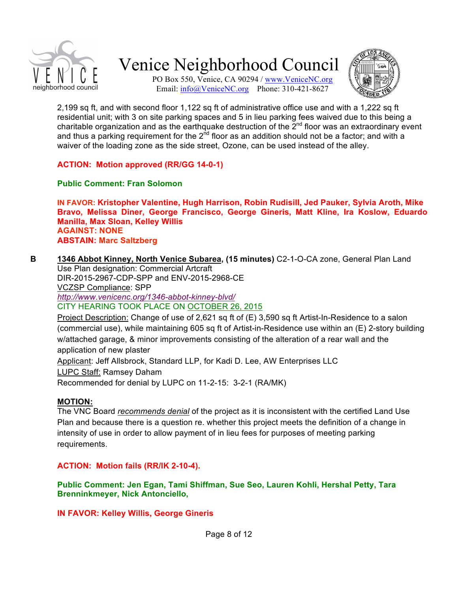

PO Box 550, Venice, CA 90294 / www.VeniceNC.org Email: info@VeniceNC.org Phone: 310-421-8627



2,199 sq ft, and with second floor 1,122 sq ft of administrative office use and with a 1,222 sq ft residential unit; with 3 on site parking spaces and 5 in lieu parking fees waived due to this being a charitable organization and as the earthquake destruction of the  $2^{nd}$  floor was an extraordinary event and thus a parking requirement for the  $2<sup>nd</sup>$  floor as an addition should not be a factor; and with a waiver of the loading zone as the side street, Ozone, can be used instead of the alley.

**ACTION: Motion approved (RR/GG 14-0-1)**

### **Public Comment: Fran Solomon**

**IN FAVOR: Kristopher Valentine, Hugh Harrison, Robin Rudisill, Jed Pauker, Sylvia Aroth, Mike Bravo, Melissa Diner, George Francisco, George Gineris, Matt Kline, Ira Koslow, Eduardo Manilla, Max Sloan, Kelley Willis AGAINST: NONE ABSTAIN: Marc Saltzberg**

**B 1346 Abbot Kinney, North Venice Subarea, (15 minutes)** C2-1-O-CA zone, General Plan Land

Use Plan designation: Commercial Artcraft DIR-2015-2967-CDP-SPP and ENV-2015-2968-CE VCZSP Compliance: SPP

*http://www.venicenc.org/1346-abbot-kinney-blvd/*

CITY HEARING TOOK PLACE ON OCTOBER 26, 2015

Project Description: Change of use of 2,621 sq ft of (E) 3,590 sq ft Artist-In-Residence to a salon (commercial use), while maintaining 605 sq ft of Artist-in-Residence use within an (E) 2-story building w/attached garage, & minor improvements consisting of the alteration of a rear wall and the application of new plaster

Applicant: Jeff Allsbrock, Standard LLP, for Kadi D. Lee, AW Enterprises LLC

LUPC Staff: Ramsey Daham

Recommended for denial by LUPC on 11-2-15: 3-2-1 (RA/MK)

### **MOTION:**

The VNC Board *recommends denial* of the project as it is inconsistent with the certified Land Use Plan and because there is a question re. whether this project meets the definition of a change in intensity of use in order to allow payment of in lieu fees for purposes of meeting parking requirements.

### **ACTION: Motion fails (RR/IK 2-10-4).**

**Public Comment: Jen Egan, Tami Shiffman, Sue Seo, Lauren Kohli, Hershal Petty, Tara Brenninkmeyer, Nick Antonciello,** 

**IN FAVOR: Kelley Willis, George Gineris**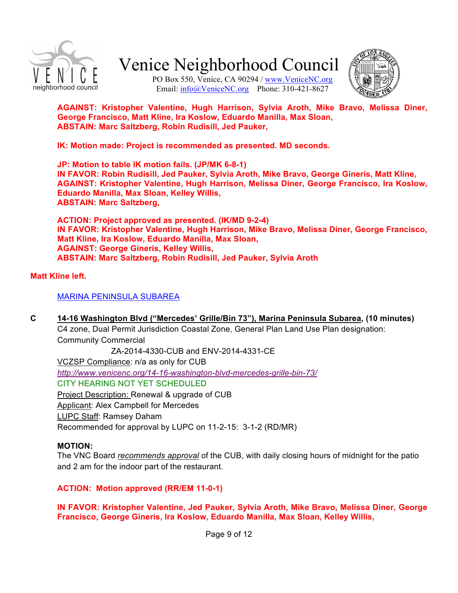

PO Box 550, Venice, CA 90294 / www.VeniceNC.org Email: info@VeniceNC.org Phone: 310-421-8627



**AGAINST: Kristopher Valentine, Hugh Harrison, Sylvia Aroth, Mike Bravo, Melissa Diner, George Francisco, Matt Kline, Ira Koslow, Eduardo Manilla, Max Sloan, ABSTAIN: Marc Saltzberg, Robin Rudisill, Jed Pauker,** 

**IK: Motion made: Project is recommended as presented. MD seconds.**

**JP: Motion to table IK motion fails. (JP/MK 6-8-1) IN FAVOR: Robin Rudisill, Jed Pauker, Sylvia Aroth, Mike Bravo, George Gineris, Matt Kline, AGAINST: Kristopher Valentine, Hugh Harrison, Melissa Diner, George Francisco, Ira Koslow, Eduardo Manilla, Max Sloan, Kelley Willis, ABSTAIN: Marc Saltzberg,**

**ACTION: Project approved as presented. (IK/MD 9-2-4) IN FAVOR: Kristopher Valentine, Hugh Harrison, Mike Bravo, Melissa Diner, George Francisco, Matt Kline, Ira Koslow, Eduardo Manilla, Max Sloan, AGAINST: George Gineris, Kelley Willis, ABSTAIN: Marc Saltzberg, Robin Rudisill, Jed Pauker, Sylvia Aroth**

### **Matt Kline left.**

### MARINA PENINSULA SUBAREA

**C 14-16 Washington Blvd ("Mercedes' Grille/Bin 73"), Marina Peninsula Subarea, (10 minutes)** 

C4 zone, Dual Permit Jurisdiction Coastal Zone, General Plan Land Use Plan designation: Community Commercial

 ZA-2014-4330-CUB and ENV-2014-4331-CE VCZSP Compliance: n/a as only for CUB *http://www.venicenc.org/14-16-washington-blvd-mercedes-grille-bin-73/* CITY HEARING NOT YET SCHEDULED

Project Description: Renewal & upgrade of CUB Applicant: Alex Campbell for Mercedes LUPC Staff: Ramsey Daham

# Recommended for approval by LUPC on 11-2-15: 3-1-2 (RD/MR)

#### **MOTION:**

The VNC Board *recommends approval* of the CUB, with daily closing hours of midnight for the patio and 2 am for the indoor part of the restaurant.

### **ACTION: Motion approved (RR/EM 11-0-1)**

**IN FAVOR: Kristopher Valentine, Jed Pauker, Sylvia Aroth, Mike Bravo, Melissa Diner, George Francisco, George Gineris, Ira Koslow, Eduardo Manilla, Max Sloan, Kelley Willis,**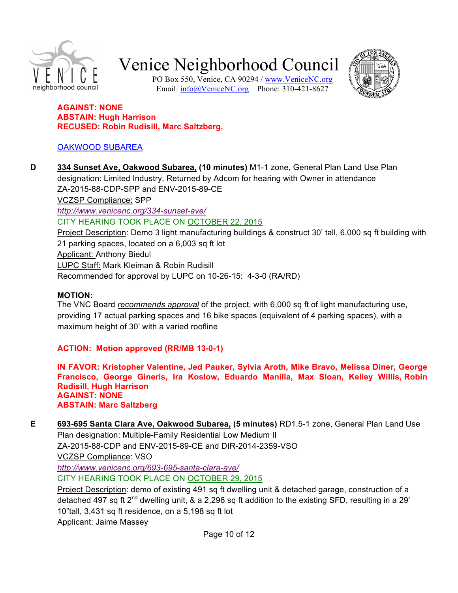

PO Box 550, Venice, CA 90294 / www.VeniceNC.org Email: info@VeniceNC.org Phone: 310-421-8627



#### **AGAINST: NONE ABSTAIN: Hugh Harrison RECUSED: Robin Rudisill, Marc Saltzberg,**

# OAKWOOD SUBAREA

**D 334 Sunset Ave, Oakwood Subarea, (10 minutes)** M1-1 zone, General Plan Land Use Plan designation: Limited Industry, Returned by Adcom for hearing with Owner in attendance ZA-2015-88-CDP-SPP and ENV-2015-89-CE VCZSP Compliance: SPP *http://www.venicenc.org/334-sunset-ave/* CITY HEARING TOOK PLACE ON OCTOBER 22, 2015 Project Description: Demo 3 light manufacturing buildings & construct 30' tall, 6,000 sq ft building with 21 parking spaces, located on a 6,003 sq ft lot Applicant: Anthony Biedul LUPC Staff: Mark Kleiman & Robin Rudisill Recommended for approval by LUPC on 10-26-15: 4-3-0 (RA/RD)

#### **MOTION:**

The VNC Board *recommends approval* of the project, with 6,000 sq ft of light manufacturing use, providing 17 actual parking spaces and 16 bike spaces (equivalent of 4 parking spaces), with a maximum height of 30' with a varied roofline

**ACTION: Motion approved (RR/MB 13-0-1)**

**IN FAVOR: Kristopher Valentine, Jed Pauker, Sylvia Aroth, Mike Bravo, Melissa Diner, George Francisco, George Gineris, Ira Koslow, Eduardo Manilla, Max Sloan, Kelley Willis, Robin Rudisill, Hugh Harrison AGAINST: NONE ABSTAIN: Marc Saltzberg**

**E 693-695 Santa Clara Ave, Oakwood Subarea, (5 minutes)** RD1.5-1 zone, General Plan Land Use Plan designation: Multiple-Family Residential Low Medium II ZA-2015-88-CDP and ENV-2015-89-CE and DIR-2014-2359-VSO VCZSP Compliance: VSO *http://www.venicenc.org/693-695-santa-clara-ave/* CITY HEARING TOOK PLACE ON OCTOBER 29, 2015 Project Description: demo of existing 491 sq ft dwelling unit & detached garage, construction of a detached 497 sq ft  $2^{nd}$  dwelling unit, & a 2,296 sq ft addition to the existing SFD, resulting in a 29'

10"tall, 3,431 sq ft residence, on a 5,198 sq ft lot

Applicant: Jaime Massey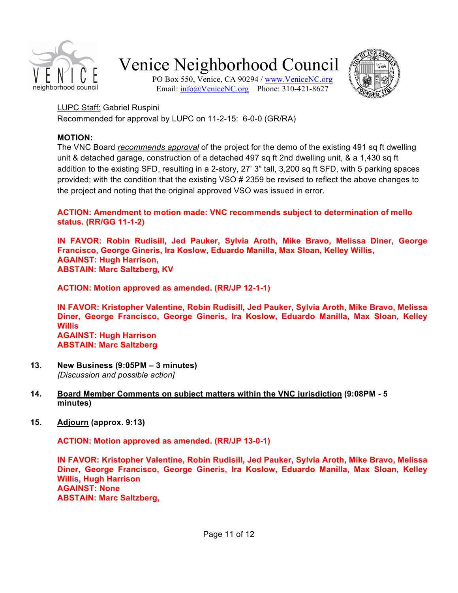

PO Box 550, Venice, CA 90294 / www.VeniceNC.org Email: info@VeniceNC.org Phone: 310-421-8627



LUPC Staff: Gabriel Ruspini Recommended for approval by LUPC on 11-2-15: 6-0-0 (GR/RA)

### **MOTION:**

The VNC Board *recommends approval* of the project for the demo of the existing 491 sq ft dwelling unit & detached garage, construction of a detached 497 sq ft 2nd dwelling unit, & a 1,430 sq ft addition to the existing SFD, resulting in a 2-story, 27' 3" tall, 3,200 sq ft SFD, with 5 parking spaces provided; with the condition that the existing VSO # 2359 be revised to reflect the above changes to the project and noting that the original approved VSO was issued in error.

**ACTION: Amendment to motion made: VNC recommends subject to determination of mello status. (RR/GG 11-1-2)**

**IN FAVOR: Robin Rudisill, Jed Pauker, Sylvia Aroth, Mike Bravo, Melissa Diner, George Francisco, George Gineris, Ira Koslow, Eduardo Manilla, Max Sloan, Kelley Willis, AGAINST: Hugh Harrison, ABSTAIN: Marc Saltzberg, KV**

**ACTION: Motion approved as amended. (RR/JP 12-1-1)**

**IN FAVOR: Kristopher Valentine, Robin Rudisill, Jed Pauker, Sylvia Aroth, Mike Bravo, Melissa Diner, George Francisco, George Gineris, Ira Koslow, Eduardo Manilla, Max Sloan, Kelley Willis AGAINST: Hugh Harrison ABSTAIN: Marc Saltzberg**

- **13. New Business (9:05PM 3 minutes)** *[Discussion and possible action]*
- **14. Board Member Comments on subject matters within the VNC jurisdiction (9:08PM 5 minutes)**
- **15. Adjourn (approx. 9:13)**

**ACTION: Motion approved as amended. (RR/JP 13-0-1)**

**IN FAVOR: Kristopher Valentine, Robin Rudisill, Jed Pauker, Sylvia Aroth, Mike Bravo, Melissa Diner, George Francisco, George Gineris, Ira Koslow, Eduardo Manilla, Max Sloan, Kelley Willis, Hugh Harrison AGAINST: None ABSTAIN: Marc Saltzberg,**